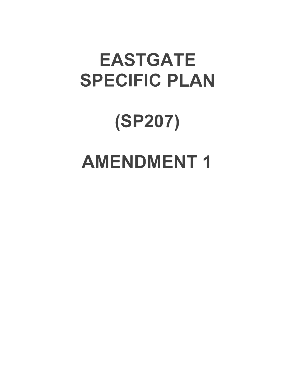# EASTGATE SPECIFIC **PLAN**

# (SP207) **AMENDMENT1**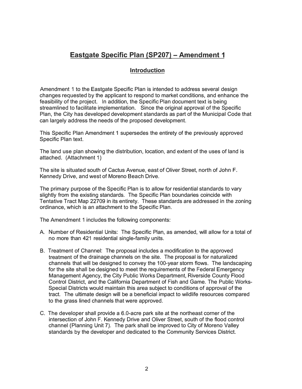# **Eastgate Specific Plan (SP207) - Amendment 1**

#### **Introduction**

Amendment 1 to the Eastgate Specific Plan is intended to address several design changes requested by the applicant to respond to market conditions, and enhance the feasibility of the project. In addition, the Specific Plan document text is being streamlined to facilitate implementation. Since the original approval of the Specific Plan, the City has developed development standards as part of the Municipal Code that can largely address the needs of the proposed development.

This Specific Plan Amendment 1 supersedes the entirety of the previously approved Specific Plan text.

The land use plan showing the distribution, location, and extent of the uses of land is attached. (Attachment 1)

The site is situated south of Cactus Avenue, east of Oliver Street, north of John F. Kennedy Drive, and west of Moreno Beach Drive.

The primary purpose of the Specific Plan is to allow for residential standards to vary slightly from the existing standards. The Specific Plan boundaries coincide with Tentative Tract Map 22709 in its entirety. These standards are addressed in the zoning ordinance, which is an attachment to the Specific Plan.

The Amendment 1 includes the following components:

- A. Number of Residential Units: The Specific Plan, as amended, will allow for a total of no more than 421 residential single-family units.
- B. Treatment of Channel: The proposal includes a modification to the approved treatment of the drainage channels on the site. The proposal is for naturalized channels that will be designed to convey the 100-year storm flows. The landscaping for the site shall be designed to meet the requirements of the Federal Emergency Management Agency, the City Public Works Department, Riverside County Flood Control District, and the California Department of Fish and Game. The Public Works-Special Districts would maintain this area subject to conditions of approval of the tract. The ultimate design will be a beneficial impact to wildlife resources compared to the grass lined channels that were approved.
- C. The developer shall provide a 6.0-acre park site at the northeast corner of the intersection of John F. Kennedy Drive and Oliver Street, south of the flood control channel (Planning Unit 7). The park shall be improved to City of Moreno Valley standards by the developer and dedicated to the Community Services District.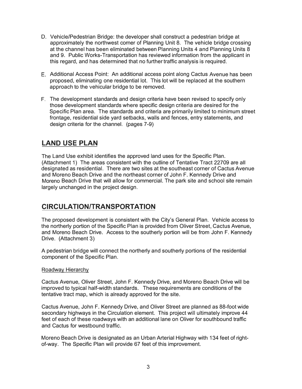- D. Vehicle/Pedestrian Bridge: the developer shall construct a pedestrian bridge at approximately the northwest corner of Planning Unit 8. The vehicle bridge crossing at the channel has been eliminated between Planning Units 4 and Planning Units 8 and 9. Public Works-Transportation has reviewed information from the applicant in this regard, and has determined that no further traffic analysis is required.
- E. Additional Access Point: An additional access point along Cactus Avenue has been proposed, eliminating one residential lot. This lot will be replaced at the southern approach to the vehicular bridge to be removed.
- F. The development standards and design criteria have been revised to specify only those development standards where specific design criteria are desired for the Specific Plan area. The standards and criteria are primarily limited to minimum street frontage, residential side yard setbacks, walls and fences, entry statements, and design criteria for the channel. (pages 7-9)

# **LAND USE PLAN**

The Land Use exhibit identifies the approved land uses for the Specific Plan. (Attachment 1) The areas consistent with the outline of Tentative Tract 22709 are all designated as residential. There are two sites at the southeast corner of Cactus Avenue and Moreno Beach Drive and the northeast corner of John F. Kennedy Drive and Moreno Beach Drive that will allow for commercial. The park site and school site remain largely unchanged in the project design.

### **CIRCULATION/TRANSPORTATION**

The proposed development is consistent with the City's General Plan. Vehicle access to the northerly portion of the Specific Plan is provided from Oliver Street, Cactus Avenue, and Moreno Beach Drive. Access to the southerly portion will be from John F. Kennedy Drive. (Attachment 3)

A pedestrian bridge will connect the northerly and southerly portions of the residential component of the Specific Plan.

#### Roadway Hierarchy

Cactus Avenue, Oliver Street, John F. Kennedy Drive, and Moreno Beach Drive will be improved to typical half-width standards. These requirements are conditions of the tentative tract map, which is already approved for the site.

Cactus Avenue, John F. Kennedy Drive, and Oliver Street are planned as 88-foot wide secondary highways in the Circulation element. This project will ultimately improve 44 feet of each of these roadways with an additional lane on Oliver for southbound traffic and Cactus for westbound traffic.

Moreno Beach Drive is designated as an Urban Arterial Highway with 134 feet of rightof-way. The Specific Plan will provide 67 feet of this improvement.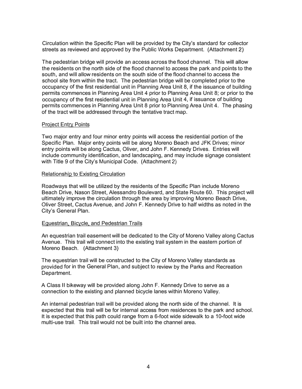Circulation within the Specific Plan will be provided by the City's standard for collector streets as reviewed and approved by the Public Works Department. (Attachment 2)

The pedestrian bridge will provide an access across the flood channel. This will allow the residents on the north side of the flood channel to access the park and points to the south, and will allow residents on the south side of the flood channel to access the school site from within the tract. The pedestrian bridge will be completed prior to the occupancy of the first residential unit in Planning Area Unit 8, if the issuance of building permits commences in Planning Area Unit 4 prior to Planning Area Unit 8; or prior to the occupancy of the first residential unit in Planning Area Unit 4, if issuance of building permits commences in Planning Area Unit 8 prior to Planning Area Unit 4. The phasing of the tract will be addressed through the tentative tract map.

#### Project Entry Points

Two major entry and four minor entry points will access the residential portion of the Specific Plan. Major entry points will be along Moreno Beach and JFK Drives; minor entry points will be along Cactus, Oliver, and John F. Kennedy Drives. Entries will include community identification, and landscaping, and may include signage consistent with Title 9 of the City's Municipal Code. (Attachment 2)

#### Relationship to Existing Circulation

Roadways that will be utilized by the residents of the Specific Plan include Moreno Beach Drive, Nason Street, Alessandro Boulevard, and State Route 60. This project will ultimately improve the circulation through the area by improving Moreno Beach Drive, Oliver Street, Cactus Avenue, and John F. Kennedy Drive to half widths as noted in the City's General Plan.

#### Equestrian, Bicycle, and Pedestrian Trails

An equestrian trail easement will be dedicated to the City of Moreno Valley along Cactus Avenue. This trail will connect into the existing trail system in the eastern portion of Moreno Beach. (Attachment 3)

The equestrian trail will be constructed to the City of Moreno Valley standards as provided for in the General Plan, and subject to review by the Parks and Recreation Department.

A Class II bikeway will be provided along John F. Kennedy Drive to serve as a connection to the existing and planned bicycle lanes within Moreno Valley.

An internal pedestrian trail will be provided along the north side of the channel. It is expected that this trail will be for internal access from residences to the park and school. It is expected that this path could range from a 6-foot wide sidewalk to a 10-foot wide multi-use trail. This trail would not be built into the channel area.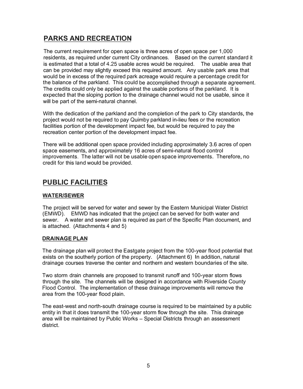# **PARKS AND RECREATION**

The current requirement for open space is three acres of open space per 1,000 residents, as required under current City ordinances. Based on the current standard it is estimated that a total of 4.25 usable acres would be required. The usable area that can be provided may slightly exceed this required amount. Any usable park area that would be in excess of the required park acreage would require a percentage credit for the balance of the parkland. This could be accomplished through a separate agreement. The credits could only be applied against the usable portions of the parkland. It is expected that the sloping portion to the drainage channel would not be usable, since it will be part of the semi-natural channel.

With the dedication of the parkland and the completion of the park to City standards, the project would not be required to pay Quimby parkland in-lieu fees or the recreation facilities portion of the development impact fee, but would be required to pay the recreation center portion of the development impact fee.

There will be additional open space provided including approximately 3.6 acres of open space easements, and approximately 16 acres of semi-natural flood control improvements. The latter will not be usable open space improvements. Therefore, no credit for this land would be provided.

# **PUBLIC FACILITIES**

#### **WATER/SEWER**

The project will be served for water and sewer by the Eastern Municipal Water District (EMWD). EMWD has indicated that the project can be served for both water and sewer. A water and sewer plan is required as part of the Specific Plan document, and is attached. (Attachments 4 and 5)

#### **DRAINAGE PLAN**

The drainage plan will protect the Eastgate project from the 100-year flood potential that exists on the southerly portion of the property. (Attachment 6) In addition, natural drainage courses traverse the center and northern and western boundaries of the site.

Two storm drain channels are proposed to transmit runoff and 100-year storm flows through the site. The channels will be designed in accordance with Riverside County Flood Control. The implementation of these drainage improvements will remove the area from the 100-year flood plain.

The east-west and north-south drainage course is required to be maintained by a public entity in that it does transmit the 100-year storm flow through the site. This drainage area will be maintained by Public Works - Special Districts through an assessment district.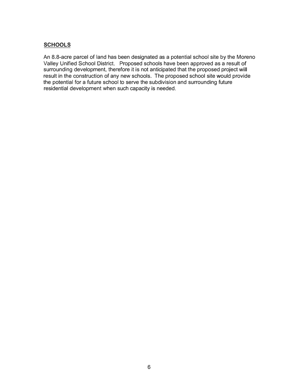#### **SCHOOLS**

An 8.8-acre parcel of land has been designated as a potential school site by the Moreno Valley Unified School District. Proposed schools have been approved as a result of surrounding development, therefore it is not anticipated that the proposed project will result in the construction of any new schools. The proposed school site would provide the potential for a future school to serve the subdivision and surrounding future residential development when such capacity is needed.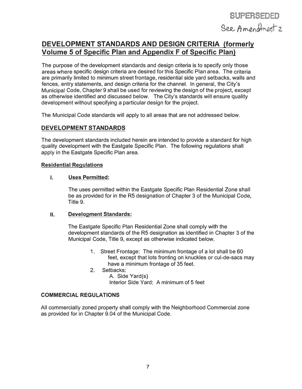## **DEVELOPMENT STANDARDS AND DESIGN CRITERIA (formerly Volume 5 of Specific Plan and Appendix F of Specific Plan)**

The purpose of the development standards and design criteria is to specify only those areas where specific design criteria are desired for this Specific Plan area. The criteria are primarily limited to minimum street frontage, residential side yard setbacks, walls and fences, entry statements, and design criteria for the channel. In general, the City's Municipal Code, Chapter 9 shall be used for reviewing the design of the project, except as otherwise identified and discussed below. The City's standards will ensure quality development without specifying a particular design for the project.

The Municipal Code standards will apply to all areas that are not addressed below.

#### **DEVELOPMENT STANDARDS**

The development standards included herein are intended to provide a standard for high quality development with the Eastgate Specific Plan. The following regulations shall apply in the Eastgate Specific Plan area.

#### **Residential Regulations**

#### **I. Uses Permitted:**

The uses permitted within the Eastgate Specific Plan Residential Zone shall be as provided for in the R5 designation of Chapter 3 of the Municipal Code, Title 9.

#### **II. Development Standards:**

The Eastgate Specific Plan Residential Zone shall comply with the development standards of the R5 designation as identified in Chapter 3 of the Municipal Code, Title 9, except as otherwise indicated below.

- 1. Street Frontage: The minimum frontage of a lot shall be 60 feet, except that lots fronting on knuckles or cul-de-sacs may have a minimum frontage of 35 feet.
- 2. Setbacks: A. Side Yard(s) Interior Side Yard: A minimum of 5 feet

#### **COMMERCIAL REGULATIONS**

All commercially zoned property shall comply with the Neighborhood Commercial zone as provided for in Chapter 9.04 of the Municipal Code.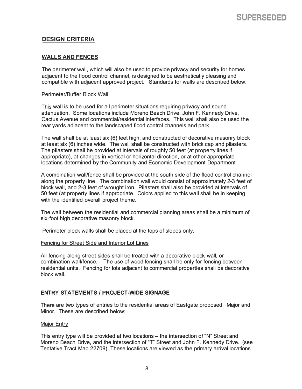#### **DESIGN CRITERIA**

#### **WALLS AND FENCES**

The perimeter wall, which will also be used to provide privacy and security for homes adjacent to the flood control channel, is designed to be aesthetically pleasing and compatible with adjacent approved project. Standards for walls are described below.

#### Perimeter/Buffer Block Wall

This wall is to be used for all perimeter situations requiring privacy and sound attenuation. Some locations include Moreno Beach Drive, John F. Kennedy Drive, Cactus Avenue and commercial/residential interfaces. This wall shall also be used the rear yards adjacent to the landscaped flood control channels and park.

The wall shall be at least six (6) feet high, and constructed of decorative masonry block at least six (6) inches wide. The wall shall be constructed with brick cap and pilasters. The pilasters shall be provided at intervals of roughly 50 feet (at property lines if appropriate), at changes in vertical or horizontal direction, or at other appropriate locations determined by the Community and Economic Development Department.

A combination wall/fence shall be provided at the south side of the flood control channel along the property line. The combination wall would consist of approximately 2-3 feet of block wall, and 2-3 feet of wrought iron. Pilasters shall also be provided at intervals of 50 feet (at property lines if appropriate. Colors applied to this wall shall be in keeping with the identified overall project theme.

The wall between the residential and commercial planning areas shall be a minimum of six-foot high decorative masonry block.

Perimeter block walls shall be placed at the tops of slopes only.

#### Fencing for Street Side and Interior Lot Lines

All fencing along street sides shall be treated with a decorative block wall, or combination wall/fence. The use of wood fencing shall be only for fencing between residential units. Fencing for lots adjacent to commercial properties shall be decorative block wall.

#### **ENTRY STATEMENTS / PROJECT-WIDE SIGNAGE**

There are two types of entries to the residential areas of Eastgate proposed: Major and Minor. These are described below:

#### Major Entry

This entry type will be provided at two locations – the intersection of "N" Street and Moreno Beach Drive, and the intersection of "T" Street and John F. Kennedy Drive. (see Tentative Tract Map 22709) These locations are viewed as the primary arrival locations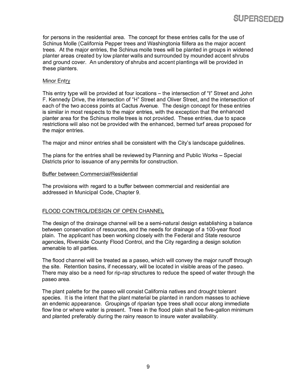**SUPERSEDED** 

for persons in the residential area. The concept for these entries calls for the use of Schinus Molle (California Pepper trees and Washingtonia filifera as the major accent trees. At the major entries, the Schinus molle trees will be planted in groups in widened planter areas created by low planter walls and surrounded by mounded accent shrubs and ground cover. An understory of shrubs and accent plantings will be provided in these planters.

#### Minor Entry

This entry type will be provided at four locations – the intersection of "I" Street and John F. Kennedy Drive, the intersection of "H" Street and Oliver Street, and the intersection of each of the two access points at Cactus Avenue. The design concept for these entries is similar in most respects to the major entries, with the exception that the enhanced planter area for the Schinus molle trees is not provided. These entries, due to space restrictions will also not be provided with the enhanced, bermed turf areas proposed for the major entries.

The major and minor entries shall be consistent with the City's landscape guidelines.

The plans for the entries shall be reviewed by Planning and Public Works - Special Districts prior to issuance of any permits for construction.

#### Buffer between Commercial/Residential

The provisions with regard to a buffer between commercial and residential are addressed in Municipal Code, Chapter 9.

#### FLOOD CONTROL/DESIGN OF OPEN CHANNEL

The design of the drainage channel will be a semi-natural design establishing a balance between conservation of resources, and the needs for drainage of a 100-year flood plain. The applicant has been working closely with the Federal and State resource agencies, Riverside County Flood Control, and the City regarding a design solution amenable to all parties.

The flood channel will be treated as a paseo, which will convey the major runoff through the site. Retention basins, if necessary, will be located in visible areas of the paseo. There may also be a need for rip-rap structures to reduce the speed of water through the paseo area.

The plant palette for the paseo will consist California natives and drought tolerant species. It is the intent that the plant material be planted in random masses to achieve an endemic appearance. Groupings of riparian type trees shall occur along immediate flow line or where water is present. Trees in the flood plain shall be five-gallon minimum and planted preferably during the rainy reason to insure water availability.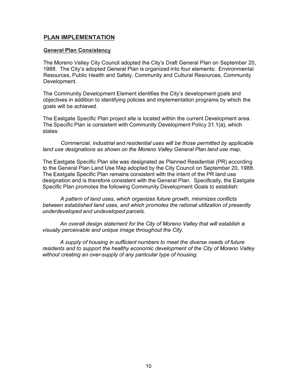#### **PLAN IMPLEMENTATION**

#### **General Plan Consistency**

The Moreno Valley City Council adopted the City's Draft General Plan on September 20, 1988. The City's adopted General Plan is organized into four elements: Environmental Resources, Public Health and Safety, Community and Cultural Resources, Community Development.

The Community Development Element identifies the City's development goals and objectives in addition to identifying policies and implementation programs by which the goals will be achieved.

The Eastgate Specific Plan project site is located within the current Development area. The Specific Plan is consistent with Community Development Policy 31.1(a), which states:

*Commercial, industrial and residential uses will be those permitted by applicable land use designations as shown on the Moreno Valley General Plan land use map.* 

The Eastgate Specific Plan site was designated as Planned Residential (PR) according to the General Plan Land Use Map adopted by the City Council on September 20, 1988. The Eastgate Specific Plan remains consistent with the intent of the PR land use designation and is therefore consistent with the General Plan. Specifically, the Eastgate Specific Plan promotes the following Community Development Goals to establish:

*A pattern of land uses, which organizes future growth, minimizes conflicts between established land uses, and which promotes the rational utilization of presently underdeveloped and undeveloped parcels.* 

*An overall design statement for the City of Moreno Valley that will establish* a *visually perceivable and unique image throughout the City.* 

*A supply of housing in sufficient numbers to meet the diverse needs of future residents and to support the healthy economic development of the City of Moreno Valley without creating an over-supply of any particular type of housing.*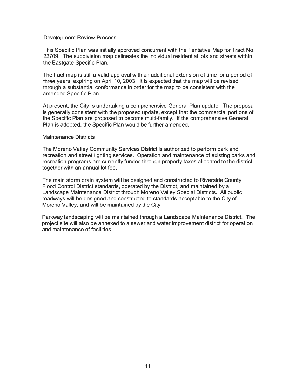#### Development Review Process

This Specific Plan was initially approved concurrent with the Tentative Map for Tract No. 22709. The subdivision map delineates the individual residential lots and streets within the Eastgate Specific Plan.

The tract map is still a valid approval with an additional extension of time for a period of three years, expiring on April 10, 2003. It is expected that the map will be revised through a substantial conformance in order for the map to be consistent with the amended Specific Plan.

At present, the City is undertaking a comprehensive General Plan update. The proposal is generally consistent with the proposed update, except that the commercial portions of the Specific Plan are proposed to become multi-family. If the comprehensive General Plan is adopted, the Specific Plan would be further amended.

#### Maintenance Districts

The Moreno Valley Community Services District is authorized to perform park and recreation and street lighting services. Operation and maintenance of existing parks and recreation programs are currently funded through property taxes allocated to the district, together with an annual lot fee.

The main storm drain system will be designed and constructed to Riverside County Flood Control District standards, operated by the District, and maintained by a Landscape Maintenance District through Moreno Valley Special Districts. All public roadways will be designed and constructed to standards acceptable to the City of Moreno Valley, and will be maintained by the City.

Parkway landscaping will be maintained through a Landscape Maintenance District. The project site will also be annexed to a sewer and water improvement district for operation and maintenance of facilities.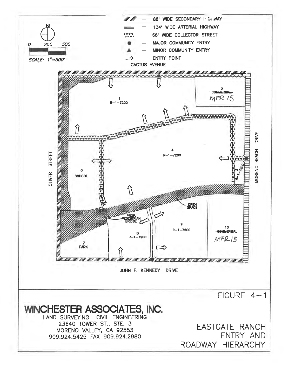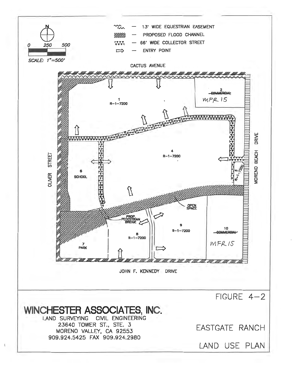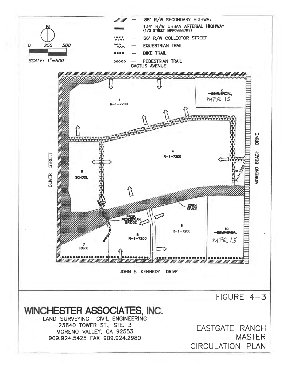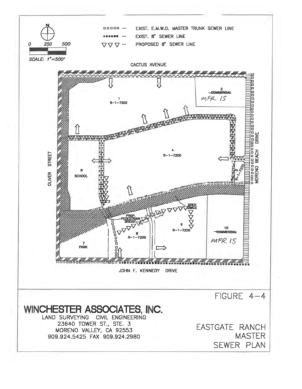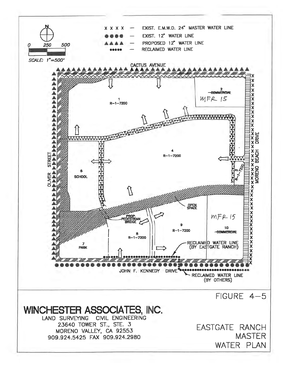